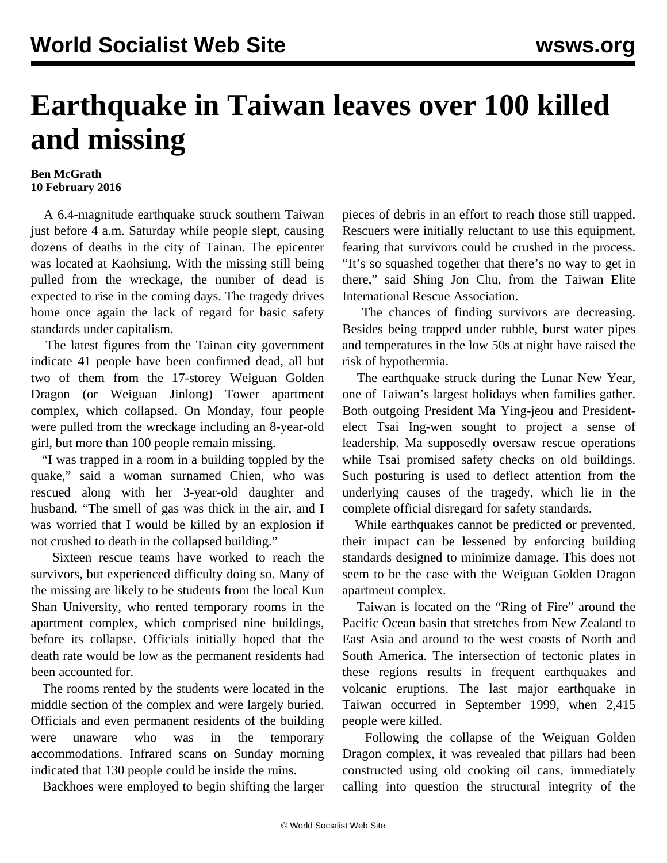## **Earthquake in Taiwan leaves over 100 killed and missing**

## **Ben McGrath 10 February 2016**

 A 6.4-magnitude earthquake struck southern Taiwan just before 4 a.m. Saturday while people slept, causing dozens of deaths in the city of Tainan. The epicenter was located at Kaohsiung. With the missing still being pulled from the wreckage, the number of dead is expected to rise in the coming days. The tragedy drives home once again the lack of regard for basic safety standards under capitalism.

 The latest figures from the Tainan city government indicate 41 people have been confirmed dead, all but two of them from the 17-storey Weiguan Golden Dragon (or Weiguan Jinlong) Tower apartment complex, which collapsed. On Monday, four people were pulled from the wreckage including an 8-year-old girl, but more than 100 people remain missing.

 "I was trapped in a room in a building toppled by the quake," said a woman surnamed Chien, who was rescued along with her 3-year-old daughter and husband. "The smell of gas was thick in the air, and I was worried that I would be killed by an explosion if not crushed to death in the collapsed building."

 Sixteen rescue teams have worked to reach the survivors, but experienced difficulty doing so. Many of the missing are likely to be students from the local Kun Shan University, who rented temporary rooms in the apartment complex, which comprised nine buildings, before its collapse. Officials initially hoped that the death rate would be low as the permanent residents had been accounted for.

 The rooms rented by the students were located in the middle section of the complex and were largely buried. Officials and even permanent residents of the building were unaware who was in the temporary accommodations. Infrared scans on Sunday morning indicated that 130 people could be inside the ruins.

Backhoes were employed to begin shifting the larger

pieces of debris in an effort to reach those still trapped. Rescuers were initially reluctant to use this equipment, fearing that survivors could be crushed in the process. "It's so squashed together that there's no way to get in there," said Shing Jon Chu, from the Taiwan Elite International Rescue Association.

 The chances of finding survivors are decreasing. Besides being trapped under rubble, burst water pipes and temperatures in the low 50s at night have raised the risk of hypothermia.

 The earthquake struck during the Lunar New Year, one of Taiwan's largest holidays when families gather. Both outgoing President Ma Ying-jeou and Presidentelect Tsai Ing-wen sought to project a sense of leadership. Ma supposedly oversaw rescue operations while Tsai promised safety checks on old buildings. Such posturing is used to deflect attention from the underlying causes of the tragedy, which lie in the complete official disregard for safety standards.

 While earthquakes cannot be predicted or prevented, their impact can be lessened by enforcing building standards designed to minimize damage. This does not seem to be the case with the Weiguan Golden Dragon apartment complex.

 Taiwan is located on the "Ring of Fire" around the Pacific Ocean basin that stretches from New Zealand to East Asia and around to the west coasts of North and South America. The intersection of tectonic plates in these regions results in frequent earthquakes and volcanic eruptions. The last major earthquake in Taiwan occurred in September 1999, when 2,415 people were killed.

 Following the collapse of the Weiguan Golden Dragon complex, it was revealed that pillars had been constructed using old cooking oil cans, immediately calling into question the structural integrity of the